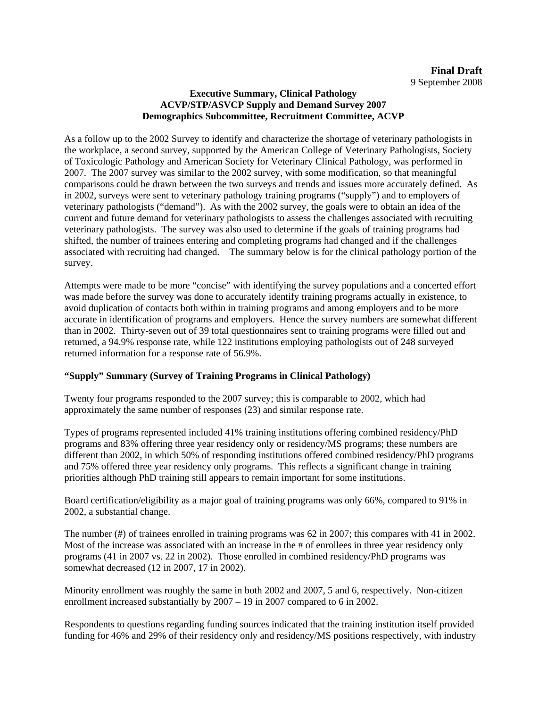## **Executive Summary, Clinical Pathology ACVP/STP/ASVCP Supply and Demand Survey 2007 Demographics Subcommittee, Recruitment Committee, ACVP**

As a follow up to the 2002 Survey to identify and characterize the shortage of veterinary pathologists in the workplace, a second survey, supported by the American College of Veterinary Pathologists, Society of Toxicologic Pathology and American Society for Veterinary Clinical Pathology, was performed in 2007. The 2007 survey was similar to the 2002 survey, with some modification, so that meaningful comparisons could be drawn between the two surveys and trends and issues more accurately defined. As in 2002, surveys were sent to veterinary pathology training programs ("supply") and to employers of veterinary pathologists ("demand"). As with the 2002 survey, the goals were to obtain an idea of the current and future demand for veterinary pathologists to assess the challenges associated with recruiting veterinary pathologists. The survey was also used to determine if the goals of training programs had shifted, the number of trainees entering and completing programs had changed and if the challenges associated with recruiting had changed. The summary below is for the clinical pathology portion of the survey.

Attempts were made to be more "concise" with identifying the survey populations and a concerted effort was made before the survey was done to accurately identify training programs actually in existence, to avoid duplication of contacts both within in training programs and among employers and to be more accurate in identification of programs and employers. Hence the survey numbers are somewhat different than in 2002. Thirty-seven out of 39 total questionnaires sent to training programs were filled out and returned, a 94.9% response rate, while 122 institutions employing pathologists out of 248 surveyed returned information for a response rate of 56.9%.

## **"Supply" Summary (Survey of Training Programs in Clinical Pathology)**

Twenty four programs responded to the 2007 survey; this is comparable to 2002, which had approximately the same number of responses (23) and similar response rate.

Types of programs represented included 41% training institutions offering combined residency/PhD programs and 83% offering three year residency only or residency/MS programs; these numbers are different than 2002, in which 50% of responding institutions offered combined residency/PhD programs and 75% offered three year residency only programs. This reflects a significant change in training priorities although PhD training still appears to remain important for some institutions.

Board certification/eligibility as a major goal of training programs was only 66%, compared to 91% in 2002, a substantial change.

The number (#) of trainees enrolled in training programs was 62 in 2007; this compares with 41 in 2002. Most of the increase was associated with an increase in the # of enrollees in three year residency only programs (41 in 2007 vs. 22 in 2002). Those enrolled in combined residency/PhD programs was somewhat decreased (12 in 2007, 17 in 2002).

Minority enrollment was roughly the same in both 2002 and 2007, 5 and 6, respectively. Non-citizen enrollment increased substantially by 2007 – 19 in 2007 compared to 6 in 2002.

Respondents to questions regarding funding sources indicated that the training institution itself provided funding for 46% and 29% of their residency only and residency/MS positions respectively, with industry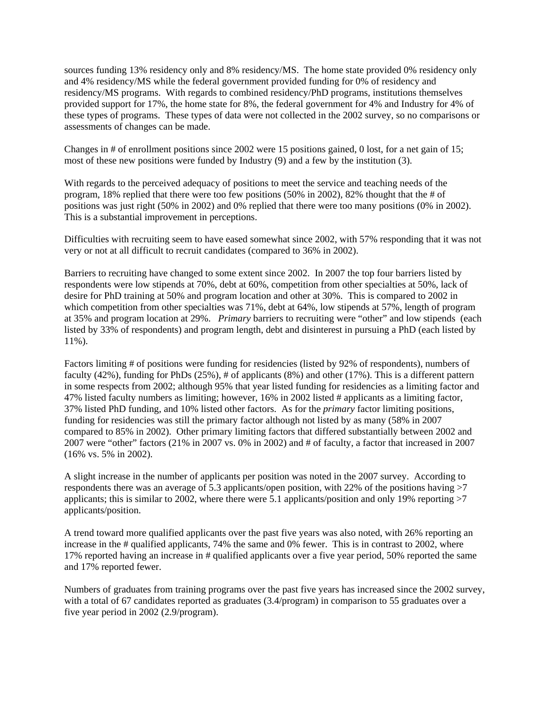sources funding 13% residency only and 8% residency/MS. The home state provided 0% residency only and 4% residency/MS while the federal government provided funding for 0% of residency and residency/MS programs. With regards to combined residency/PhD programs, institutions themselves provided support for 17%, the home state for 8%, the federal government for 4% and Industry for 4% of these types of programs. These types of data were not collected in the 2002 survey, so no comparisons or assessments of changes can be made.

Changes in # of enrollment positions since 2002 were 15 positions gained, 0 lost, for a net gain of 15; most of these new positions were funded by Industry (9) and a few by the institution (3).

With regards to the perceived adequacy of positions to meet the service and teaching needs of the program, 18% replied that there were too few positions (50% in 2002), 82% thought that the # of positions was just right (50% in 2002) and 0% replied that there were too many positions (0% in 2002). This is a substantial improvement in perceptions.

Difficulties with recruiting seem to have eased somewhat since 2002, with 57% responding that it was not very or not at all difficult to recruit candidates (compared to 36% in 2002).

Barriers to recruiting have changed to some extent since 2002. In 2007 the top four barriers listed by respondents were low stipends at 70%, debt at 60%, competition from other specialties at 50%, lack of desire for PhD training at 50% and program location and other at 30%. This is compared to 2002 in which competition from other specialties was 71%, debt at 64%, low stipends at 57%, length of program at 35% and program location at 29%. *Primary* barriers to recruiting were "other" and low stipends (each listed by 33% of respondents) and program length, debt and disinterest in pursuing a PhD (each listed by 11%).

Factors limiting # of positions were funding for residencies (listed by 92% of respondents), numbers of faculty (42%), funding for PhDs (25%), # of applicants (8%) and other (17%). This is a different pattern in some respects from 2002; although 95% that year listed funding for residencies as a limiting factor and 47% listed faculty numbers as limiting; however, 16% in 2002 listed # applicants as a limiting factor, 37% listed PhD funding, and 10% listed other factors. As for the *primary* factor limiting positions, funding for residencies was still the primary factor although not listed by as many (58% in 2007 compared to 85% in 2002). Other primary limiting factors that differed substantially between 2002 and 2007 were "other" factors (21% in 2007 vs. 0% in 2002) and # of faculty, a factor that increased in 2007 (16% vs. 5% in 2002).

A slight increase in the number of applicants per position was noted in the 2007 survey. According to respondents there was an average of 5.3 applicants/open position, with 22% of the positions having >7 applicants; this is similar to 2002, where there were 5.1 applicants/position and only 19% reporting >7 applicants/position.

A trend toward more qualified applicants over the past five years was also noted, with 26% reporting an increase in the # qualified applicants, 74% the same and 0% fewer. This is in contrast to 2002, where 17% reported having an increase in # qualified applicants over a five year period, 50% reported the same and 17% reported fewer.

Numbers of graduates from training programs over the past five years has increased since the 2002 survey, with a total of 67 candidates reported as graduates (3.4/program) in comparison to 55 graduates over a five year period in 2002 (2.9/program).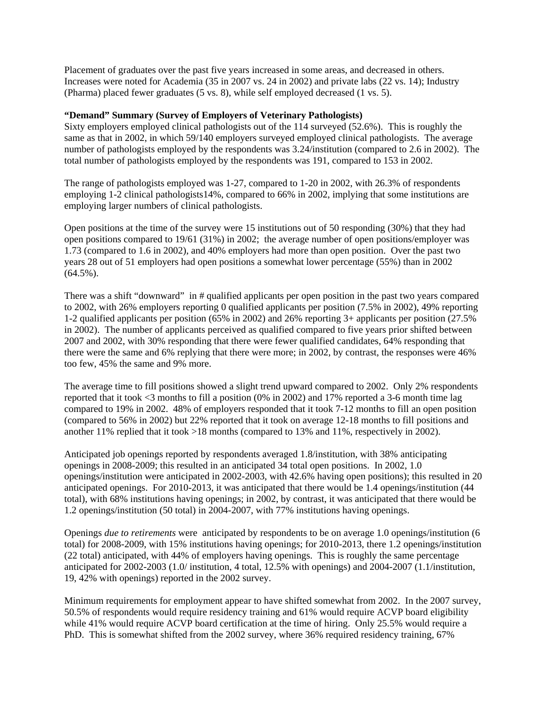Placement of graduates over the past five years increased in some areas, and decreased in others. Increases were noted for Academia (35 in 2007 vs. 24 in 2002) and private labs (22 vs. 14); Industry (Pharma) placed fewer graduates (5 vs. 8), while self employed decreased (1 vs. 5).

## **"Demand" Summary (Survey of Employers of Veterinary Pathologists)**

Sixty employers employed clinical pathologists out of the 114 surveyed (52.6%). This is roughly the same as that in 2002, in which 59/140 employers surveyed employed clinical pathologists. The average number of pathologists employed by the respondents was 3.24/institution (compared to 2.6 in 2002). The total number of pathologists employed by the respondents was 191, compared to 153 in 2002.

The range of pathologists employed was 1-27, compared to 1-20 in 2002, with 26.3% of respondents employing 1-2 clinical pathologists14%, compared to 66% in 2002, implying that some institutions are employing larger numbers of clinical pathologists.

Open positions at the time of the survey were 15 institutions out of 50 responding (30%) that they had open positions compared to 19/61 (31%) in 2002; the average number of open positions/employer was 1.73 (compared to 1.6 in 2002), and 40% employers had more than open position. Over the past two years 28 out of 51 employers had open positions a somewhat lower percentage (55%) than in 2002  $(64.5\%)$ .

There was a shift "downward" in # qualified applicants per open position in the past two years compared to 2002, with 26% employers reporting 0 qualified applicants per position (7.5% in 2002), 49% reporting 1-2 qualified applicants per position (65% in 2002) and 26% reporting 3+ applicants per position (27.5% in 2002). The number of applicants perceived as qualified compared to five years prior shifted between 2007 and 2002, with 30% responding that there were fewer qualified candidates, 64% responding that there were the same and 6% replying that there were more; in 2002, by contrast, the responses were 46% too few, 45% the same and 9% more.

The average time to fill positions showed a slight trend upward compared to 2002. Only 2% respondents reported that it took <3 months to fill a position (0% in 2002) and 17% reported a 3-6 month time lag compared to 19% in 2002. 48% of employers responded that it took 7-12 months to fill an open position (compared to 56% in 2002) but 22% reported that it took on average 12-18 months to fill positions and another 11% replied that it took >18 months (compared to 13% and 11%, respectively in 2002).

Anticipated job openings reported by respondents averaged 1.8/institution, with 38% anticipating openings in 2008-2009; this resulted in an anticipated 34 total open positions. In 2002, 1.0 openings/institution were anticipated in 2002-2003, with 42.6% having open positions); this resulted in 20 anticipated openings. For 2010-2013, it was anticipated that there would be 1.4 openings/institution (44 total), with 68% institutions having openings; in 2002, by contrast, it was anticipated that there would be 1.2 openings/institution (50 total) in 2004-2007, with 77% institutions having openings.

Openings *due to retirements* were anticipated by respondents to be on average 1.0 openings/institution (6 total) for 2008-2009, with 15% institutions having openings; for 2010-2013, there 1.2 openings/institution (22 total) anticipated, with 44% of employers having openings. This is roughly the same percentage anticipated for 2002-2003 (1.0/ institution, 4 total, 12.5% with openings) and 2004-2007 (1.1/institution, 19, 42% with openings) reported in the 2002 survey.

Minimum requirements for employment appear to have shifted somewhat from 2002. In the 2007 survey, 50.5% of respondents would require residency training and 61% would require ACVP board eligibility while 41% would require ACVP board certification at the time of hiring. Only 25.5% would require a PhD. This is somewhat shifted from the 2002 survey, where 36% required residency training, 67%